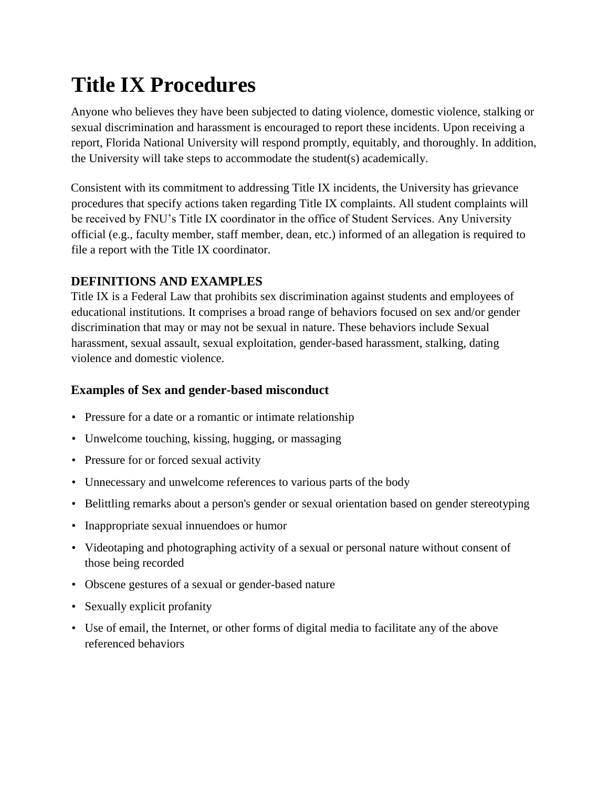# **Title IX Procedures**

Anyone who believes they have been subjected to dating violence, domestic violence, stalking or sexual discrimination and harassment is encouraged to report these incidents. Upon receiving a report, Florida National University will respond promptly, equitably, and thoroughly. In addition, the University will take steps to accommodate the student(s) academically.

Consistent with its commitment to addressing Title IX incidents, the University has grievance procedures that specify actions taken regarding Title IX complaints. All student complaints will be received by FNU's Title IX coordinator in the office of Student Services. Any University official (e.g., faculty member, staff member, dean, etc.) informed of an allegation is required to file a report with the Title IX coordinator.

# **DEFINITIONS AND EXAMPLES**

Title IX is a Federal Law that prohibits sex discrimination against students and employees of educational institutions. It comprises a broad range of behaviors focused on sex and/or gender discrimination that may or may not be sexual in nature. These behaviors include Sexual harassment, sexual assault, sexual exploitation, gender-based harassment, stalking, dating violence and domestic violence.

# **Examples of Sex and gender-based misconduct**

- Pressure for a date or a romantic or intimate relationship
- Unwelcome touching, kissing, hugging, or massaging
- Pressure for or forced sexual activity
- Unnecessary and unwelcome references to various parts of the body
- Belittling remarks about a person's gender or sexual orientation based on gender stereotyping
- Inappropriate sexual innuendoes or humor
- Videotaping and photographing activity of a sexual or personal nature without consent of those being recorded
- Obscene gestures of a sexual or gender-based nature
- Sexually explicit profanity
- Use of email, the Internet, or other forms of digital media to facilitate any of the above referenced behaviors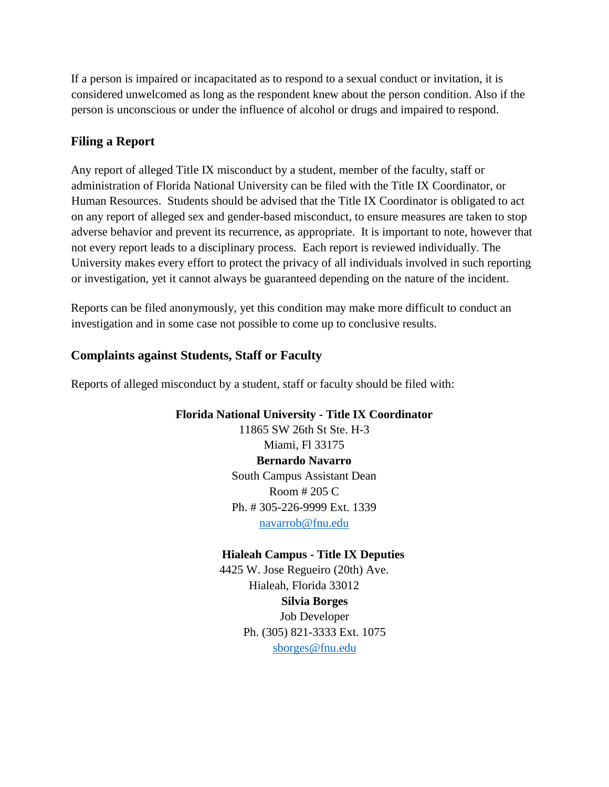If a person is impaired or incapacitated as to respond to a sexual conduct or invitation, it is considered unwelcomed as long as the respondent knew about the person condition. Also if the person is unconscious or under the influence of alcohol or drugs and impaired to respond.

## **Filing a Report**

Any report of alleged Title IX misconduct by a student, member of the faculty, staff or administration of Florida National University can be filed with the Title IX Coordinator, or Human Resources. Students should be advised that the Title IX Coordinator is obligated to act on any report of alleged sex and gender-based misconduct, to ensure measures are taken to stop adverse behavior and prevent its recurrence, as appropriate. It is important to note, however that not every report leads to a disciplinary process. Each report is reviewed individually. The University makes every effort to protect the privacy of all individuals involved in such reporting or investigation, yet it cannot always be guaranteed depending on the nature of the incident.

Reports can be filed anonymously, yet this condition may make more difficult to conduct an investigation and in some case not possible to come up to conclusive results.

## **Complaints against Students, Staff or Faculty**

Reports of alleged misconduct by a student, staff or faculty should be filed with:

**Florida National University - Title IX Coordinator**

11865 SW 26th St Ste. H-3 Miami, Fl 33175 **Bernardo Navarro** South Campus Assistant Dean Room # 205 C Ph. # 305-226-9999 Ext. 1339 [navarrob@fnu.edu](mailto:navarrob@fnu.edu)

## **Hialeah Campus - Title IX Deputies**

4425 W. Jose Regueiro (20th) Ave. Hialeah, Florida 33012 **Silvia Borges** Job Developer Ph. (305) 821-3333 Ext. 1075 [sborges@fnu.edu](mailto:sborges@fnu.edu)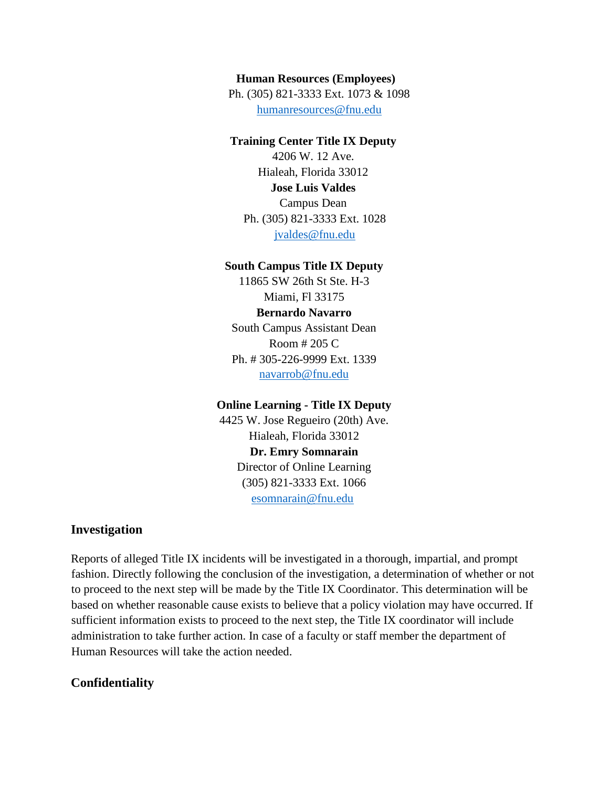#### **Human Resources (Employees)**

Ph. (305) 821-3333 Ext. 1073 & 1098 [humanresources@fnu.edu](mailto:humanresources@fnu.edu)

#### **Training Center Title IX Deputy**

4206 W. 12 Ave. Hialeah, Florida 33012 **Jose Luis Valdes** Campus Dean Ph. (305) 821-3333 Ext. 1028 [jvaldes@fnu.edu](mailto:jvaldes@fnu.edu)

#### **South Campus Title IX Deputy**

11865 SW 26th St Ste. H-3 Miami, Fl 33175 **Bernardo Navarro** South Campus Assistant Dean

Room # 205 C Ph. # 305-226-9999 Ext. 1339 [navarrob@fnu.edu](mailto:navarrob@fnu.edu)

#### **Online Learning - Title IX Deputy**

4425 W. Jose Regueiro (20th) Ave. Hialeah, Florida 33012 **Dr. Emry Somnarain** Director of Online Learning (305) 821-3333 Ext. 1066 [esomnarain@fnu.edu](mailto:esomnarain@fnu.edu)

#### **Investigation**

Reports of alleged Title IX incidents will be investigated in a thorough, impartial, and prompt fashion. Directly following the conclusion of the investigation, a determination of whether or not to proceed to the next step will be made by the Title IX Coordinator. This determination will be based on whether reasonable cause exists to believe that a policy violation may have occurred. If sufficient information exists to proceed to the next step, the Title IX coordinator will include administration to take further action. In case of a faculty or staff member the department of Human Resources will take the action needed.

## **Confidentiality**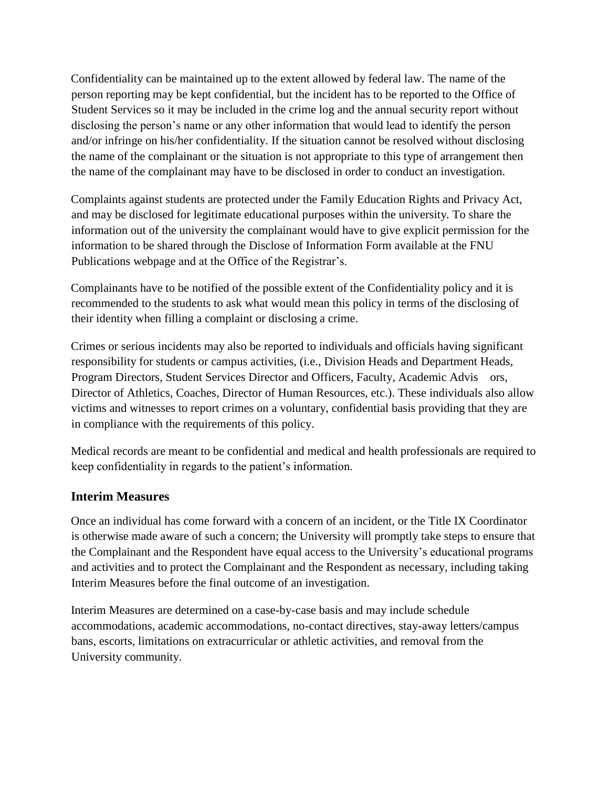Confidentiality can be maintained up to the extent allowed by federal law. The name of the person reporting may be kept confidential, but the incident has to be reported to the Office of Student Services so it may be included in the crime log and the annual security report without disclosing the person's name or any other information that would lead to identify the person and/or infringe on his/her confidentiality. If the situation cannot be resolved without disclosing the name of the complainant or the situation is not appropriate to this type of arrangement then the name of the complainant may have to be disclosed in order to conduct an investigation.

Complaints against students are protected under the Family Education Rights and Privacy Act, and may be disclosed for legitimate educational purposes within the university. To share the information out of the university the complainant would have to give explicit permission for the information to be shared through the Disclose of Information Form available at the FNU Publications webpage and at the Office of the Registrar's.

Complainants have to be notified of the possible extent of the Confidentiality policy and it is recommended to the students to ask what would mean this policy in terms of the disclosing of their identity when filling a complaint or disclosing a crime.

Crimes or serious incidents may also be reported to individuals and officials having significant responsibility for students or campus activities, (i.e., Division Heads and Department Heads, Program Directors, Student Services Director and Officers, Faculty, Academic Advis ors, Director of Athletics, Coaches, Director of Human Resources, etc.). These individuals also allow victims and witnesses to report crimes on a voluntary, confidential basis providing that they are in compliance with the requirements of this policy.

Medical records are meant to be confidential and medical and health professionals are required to keep confidentiality in regards to the patient's information.

## **Interim Measures**

Once an individual has come forward with a concern of an incident, or the Title IX Coordinator is otherwise made aware of such a concern; the University will promptly take steps to ensure that the Complainant and the Respondent have equal access to the University's educational programs and activities and to protect the Complainant and the Respondent as necessary, including taking Interim Measures before the final outcome of an investigation.

Interim Measures are determined on a case-by-case basis and may include schedule accommodations, academic accommodations, no-contact directives, stay-away letters/campus bans, escorts, limitations on extracurricular or athletic activities, and removal from the University community.